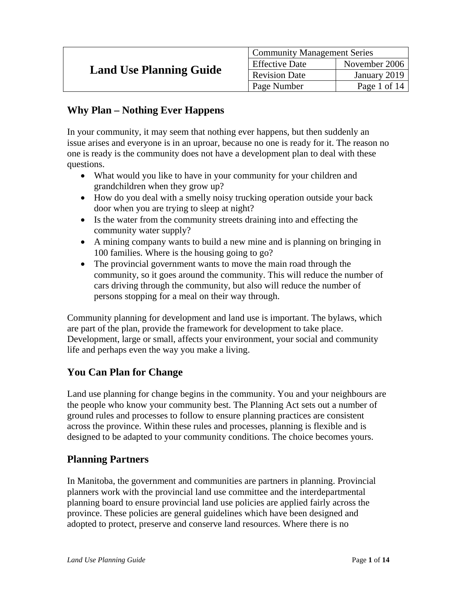| <b>Land Use Planning Guide</b> | <b>Community Management Series</b> |               |  |  |  |
|--------------------------------|------------------------------------|---------------|--|--|--|
|                                | <b>Effective Date</b>              | November 2006 |  |  |  |
|                                | <b>Revision Date</b>               | January 2019  |  |  |  |
|                                | Page Number                        | Page 1 of 14  |  |  |  |

# **Why Plan – Nothing Ever Happens**

In your community, it may seem that nothing ever happens, but then suddenly an issue arises and everyone is in an uproar, because no one is ready for it. The reason no one is ready is the community does not have a development plan to deal with these questions.

- What would you like to have in your community for your children and grandchildren when they grow up?
- How do you deal with a smelly noisy trucking operation outside your back door when you are trying to sleep at night?
- Is the water from the community streets draining into and effecting the community water supply?
- A mining company wants to build a new mine and is planning on bringing in 100 families. Where is the housing going to go?
- The provincial government wants to move the main road through the community, so it goes around the community. This will reduce the number of cars driving through the community, but also will reduce the number of persons stopping for a meal on their way through.

Community planning for development and land use is important. The bylaws, which are part of the plan, provide the framework for development to take place. Development, large or small, affects your environment, your social and community life and perhaps even the way you make a living.

## **You Can Plan for Change**

Land use planning for change begins in the community. You and your neighbours are the people who know your community best. The Planning Act sets out a number of ground rules and processes to follow to ensure planning practices are consistent across the province. Within these rules and processes, planning is flexible and is designed to be adapted to your community conditions. The choice becomes yours.

## **Planning Partners**

In Manitoba, the government and communities are partners in planning. Provincial planners work with the provincial land use committee and the interdepartmental planning board to ensure provincial land use policies are applied fairly across the province. These policies are general guidelines which have been designed and adopted to protect, preserve and conserve land resources. Where there is no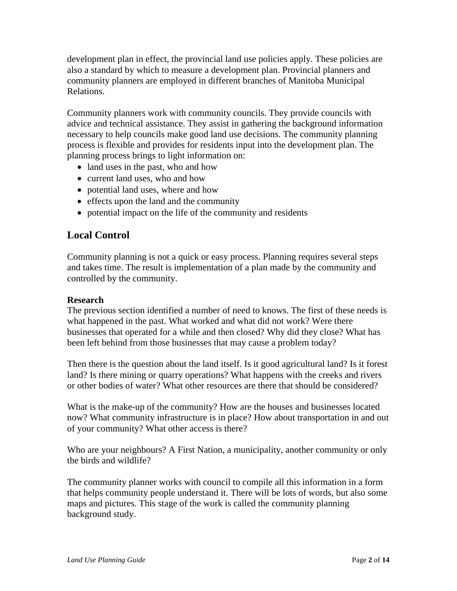development plan in effect, the provincial land use policies apply. These policies are also a standard by which to measure a development plan. Provincial planners and community planners are employed in different branches of Manitoba Municipal Relations.

Community planners work with community councils. They provide councils with advice and technical assistance. They assist in gathering the background information necessary to help councils make good land use decisions. The community planning process is flexible and provides for residents input into the development plan. The planning process brings to light information on:

- land uses in the past, who and how
- current land uses, who and how
- potential land uses, where and how
- effects upon the land and the community
- potential impact on the life of the community and residents

## **Local Control**

Community planning is not a quick or easy process. Planning requires several steps and takes time. The result is implementation of a plan made by the community and controlled by the community.

#### **Research**

The previous section identified a number of need to knows. The first of these needs is what happened in the past. What worked and what did not work? Were there businesses that operated for a while and then closed? Why did they close? What has been left behind from those businesses that may cause a problem today?

Then there is the question about the land itself. Is it good agricultural land? Is it forest land? Is there mining or quarry operations? What happens with the creeks and rivers or other bodies of water? What other resources are there that should be considered?

What is the make-up of the community? How are the houses and businesses located now? What community infrastructure is in place? How about transportation in and out of your community? What other access is there?

Who are your neighbours? A First Nation, a municipality, another community or only the birds and wildlife?

The community planner works with council to compile all this information in a form that helps community people understand it. There will be lots of words, but also some maps and pictures. This stage of the work is called the community planning background study.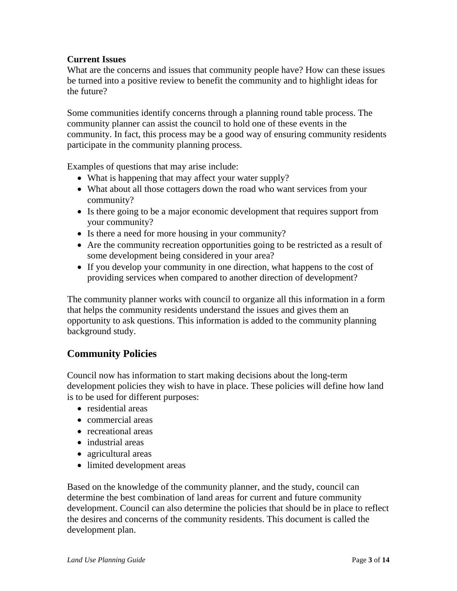## **Current Issues**

What are the concerns and issues that community people have? How can these issues be turned into a positive review to benefit the community and to highlight ideas for the future?

Some communities identify concerns through a planning round table process. The community planner can assist the council to hold one of these events in the community. In fact, this process may be a good way of ensuring community residents participate in the community planning process.

Examples of questions that may arise include:

- What is happening that may affect your water supply?
- What about all those cottagers down the road who want services from your community?
- Is there going to be a major economic development that requires support from your community?
- Is there a need for more housing in your community?
- Are the community recreation opportunities going to be restricted as a result of some development being considered in your area?
- If you develop your community in one direction, what happens to the cost of providing services when compared to another direction of development?

The community planner works with council to organize all this information in a form that helps the community residents understand the issues and gives them an opportunity to ask questions. This information is added to the community planning background study.

# **Community Policies**

Council now has information to start making decisions about the long-term development policies they wish to have in place. These policies will define how land is to be used for different purposes:

- residential areas
- commercial areas
- recreational areas
- industrial areas
- agricultural areas
- limited development areas

Based on the knowledge of the community planner, and the study, council can determine the best combination of land areas for current and future community development. Council can also determine the policies that should be in place to reflect the desires and concerns of the community residents. This document is called the development plan.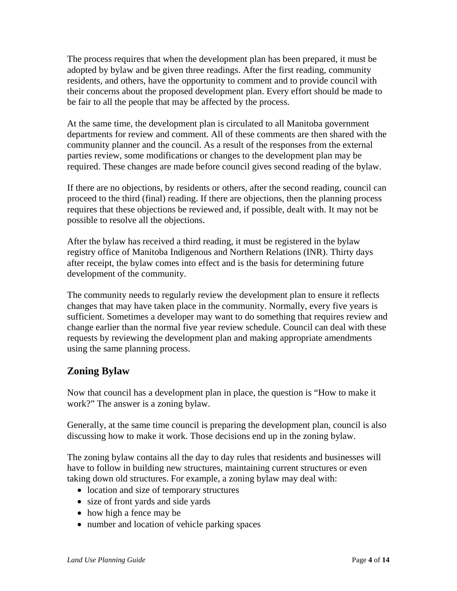The process requires that when the development plan has been prepared, it must be adopted by bylaw and be given three readings. After the first reading, community residents, and others, have the opportunity to comment and to provide council with their concerns about the proposed development plan. Every effort should be made to be fair to all the people that may be affected by the process.

At the same time, the development plan is circulated to all Manitoba government departments for review and comment. All of these comments are then shared with the community planner and the council. As a result of the responses from the external parties review, some modifications or changes to the development plan may be required. These changes are made before council gives second reading of the bylaw.

If there are no objections, by residents or others, after the second reading, council can proceed to the third (final) reading. If there are objections, then the planning process requires that these objections be reviewed and, if possible, dealt with. It may not be possible to resolve all the objections.

After the bylaw has received a third reading, it must be registered in the bylaw registry office of Manitoba Indigenous and Northern Relations (INR). Thirty days after receipt, the bylaw comes into effect and is the basis for determining future development of the community.

The community needs to regularly review the development plan to ensure it reflects changes that may have taken place in the community. Normally, every five years is sufficient. Sometimes a developer may want to do something that requires review and change earlier than the normal five year review schedule. Council can deal with these requests by reviewing the development plan and making appropriate amendments using the same planning process.

# **Zoning Bylaw**

Now that council has a development plan in place, the question is "How to make it work?" The answer is a zoning bylaw.

Generally, at the same time council is preparing the development plan, council is also discussing how to make it work. Those decisions end up in the zoning bylaw.

The zoning bylaw contains all the day to day rules that residents and businesses will have to follow in building new structures, maintaining current structures or even taking down old structures. For example, a zoning bylaw may deal with:

- location and size of temporary structures
- size of front yards and side yards
- how high a fence may be
- number and location of vehicle parking spaces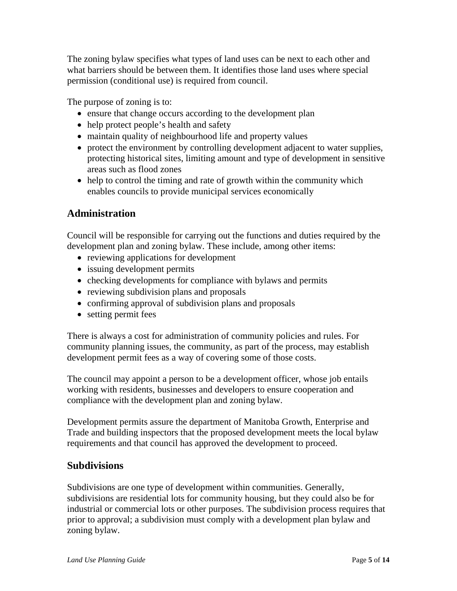The zoning bylaw specifies what types of land uses can be next to each other and what barriers should be between them. It identifies those land uses where special permission (conditional use) is required from council.

The purpose of zoning is to:

- ensure that change occurs according to the development plan
- help protect people's health and safety
- maintain quality of neighbourhood life and property values
- protect the environment by controlling development adjacent to water supplies, protecting historical sites, limiting amount and type of development in sensitive areas such as flood zones
- help to control the timing and rate of growth within the community which enables councils to provide municipal services economically

## **Administration**

Council will be responsible for carrying out the functions and duties required by the development plan and zoning bylaw. These include, among other items:

- reviewing applications for development
- issuing development permits
- checking developments for compliance with bylaws and permits
- reviewing subdivision plans and proposals
- confirming approval of subdivision plans and proposals
- setting permit fees

There is always a cost for administration of community policies and rules. For community planning issues, the community, as part of the process, may establish development permit fees as a way of covering some of those costs.

The council may appoint a person to be a development officer, whose job entails working with residents, businesses and developers to ensure cooperation and compliance with the development plan and zoning bylaw.

Development permits assure the department of Manitoba Growth, Enterprise and Trade and building inspectors that the proposed development meets the local bylaw requirements and that council has approved the development to proceed.

## **Subdivisions**

Subdivisions are one type of development within communities. Generally, subdivisions are residential lots for community housing, but they could also be for industrial or commercial lots or other purposes. The subdivision process requires that prior to approval; a subdivision must comply with a development plan bylaw and zoning bylaw.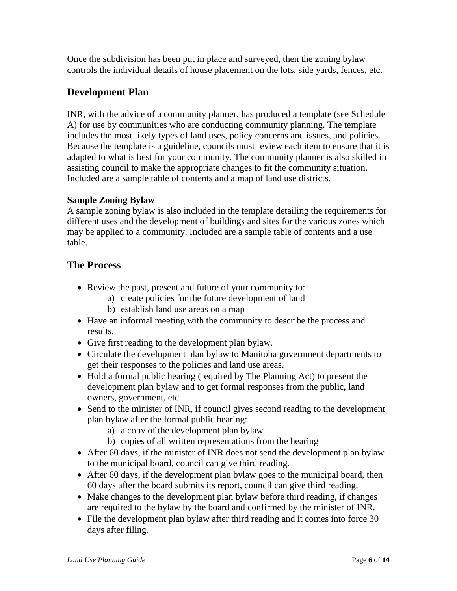Once the subdivision has been put in place and surveyed, then the zoning bylaw controls the individual details of house placement on the lots, side yards, fences, etc.

## **Development Plan**

INR, with the advice of a community planner, has produced a template (see Schedule A) for use by communities who are conducting community planning. The template includes the most likely types of land uses, policy concerns and issues, and policies. Because the template is a guideline, councils must review each item to ensure that it is adapted to what is best for your community. The community planner is also skilled in assisting council to make the appropriate changes to fit the community situation. Included are a sample table of contents and a map of land use districts.

## **Sample Zoning Bylaw**

A sample zoning bylaw is also included in the template detailing the requirements for different uses and the development of buildings and sites for the various zones which may be applied to a community. Included are a sample table of contents and a use table.

## **The Process**

- Review the past, present and future of your community to:
	- a) create policies for the future development of land
	- b) establish land use areas on a map
- Have an informal meeting with the community to describe the process and results.
- Give first reading to the development plan bylaw.
- Circulate the development plan bylaw to Manitoba government departments to get their responses to the policies and land use areas.
- Hold a formal public hearing (required by The Planning Act) to present the development plan bylaw and to get formal responses from the public, land owners, government, etc.
- Send to the minister of INR, if council gives second reading to the development plan bylaw after the formal public hearing:
	- a) a copy of the development plan bylaw
	- b) copies of all written representations from the hearing
- After 60 days, if the minister of INR does not send the development plan bylaw to the municipal board, council can give third reading.
- After 60 days, if the development plan bylaw goes to the municipal board, then 60 days after the board submits its report, council can give third reading.
- Make changes to the development plan bylaw before third reading, if changes are required to the bylaw by the board and confirmed by the minister of INR.
- File the development plan bylaw after third reading and it comes into force 30 days after filing.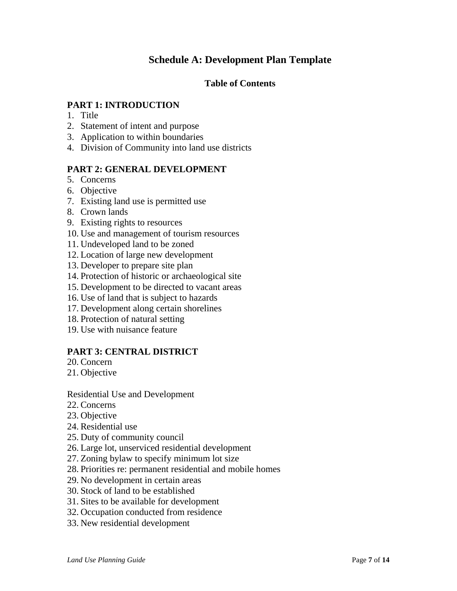## **Schedule A: Development Plan Template**

## **Table of Contents**

## **PART 1: INTRODUCTION**

- 1. Title
- 2. Statement of intent and purpose
- 3. Application to within boundaries
- 4. Division of Community into land use districts

## **PART 2: GENERAL DEVELOPMENT**

- 5. Concerns
- 6. Objective
- 7. Existing land use is permitted use
- 8. Crown lands
- 9. Existing rights to resources
- 10. Use and management of tourism resources
- 11. Undeveloped land to be zoned
- 12. Location of large new development
- 13. Developer to prepare site plan
- 14. Protection of historic or archaeological site
- 15. Development to be directed to vacant areas
- 16. Use of land that is subject to hazards
- 17. Development along certain shorelines
- 18. Protection of natural setting
- 19. Use with nuisance feature

## **PART 3: CENTRAL DISTRICT**

- 20. Concern
- 21. Objective

Residential Use and Development

- 22. Concerns
- 23. Objective
- 24. Residential use
- 25. Duty of community council
- 26. Large lot, unserviced residential development
- 27. Zoning bylaw to specify minimum lot size
- 28. Priorities re: permanent residential and mobile homes
- 29. No development in certain areas
- 30. Stock of land to be established
- 31. Sites to be available for development
- 32. Occupation conducted from residence
- 33. New residential development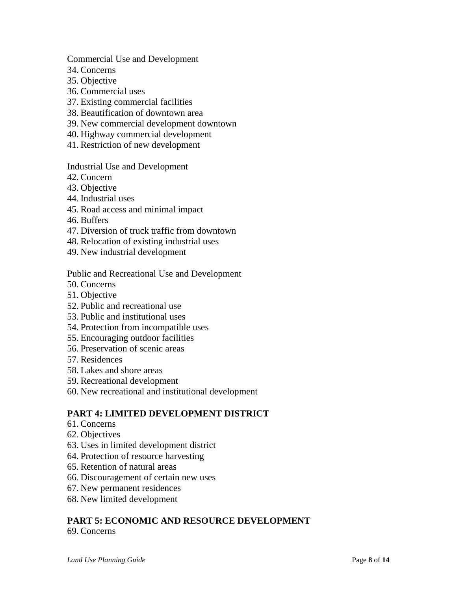#### Commercial Use and Development

- 34. Concerns
- 35. Objective
- 36. Commercial uses
- 37. Existing commercial facilities
- 38. Beautification of downtown area
- 39. New commercial development downtown
- 40. Highway commercial development
- 41. Restriction of new development

#### Industrial Use and Development

- 42. Concern
- 43. Objective
- 44. Industrial uses
- 45. Road access and minimal impact
- 46. Buffers
- 47. Diversion of truck traffic from downtown
- 48. Relocation of existing industrial uses
- 49. New industrial development

#### Public and Recreational Use and Development

- 50. Concerns
- 51. Objective
- 52. Public and recreational use
- 53. Public and institutional uses
- 54. Protection from incompatible uses
- 55. Encouraging outdoor facilities
- 56. Preservation of scenic areas
- 57. Residences
- 58. Lakes and shore areas
- 59. Recreational development
- 60. New recreational and institutional development

## **PART 4: LIMITED DEVELOPMENT DISTRICT**

- 61. Concerns
- 62. Objectives
- 63. Uses in limited development district
- 64. Protection of resource harvesting
- 65. Retention of natural areas
- 66. Discouragement of certain new uses
- 67. New permanent residences
- 68. New limited development

#### **PART 5: ECONOMIC AND RESOURCE DEVELOPMENT** 69. Concerns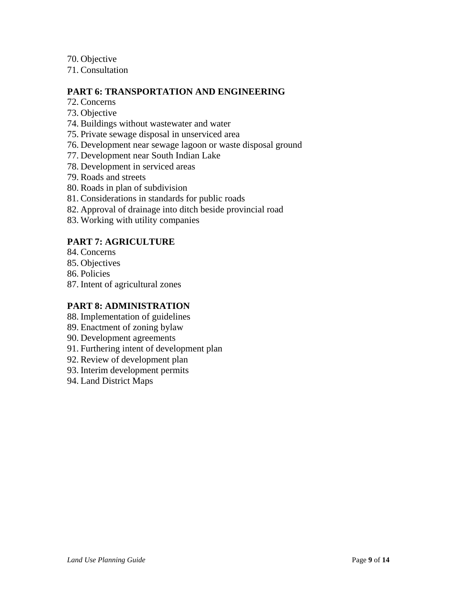70. Objective

71. Consultation

## **PART 6: TRANSPORTATION AND ENGINEERING**

- 72. Concerns
- 73. Objective
- 74. Buildings without wastewater and water
- 75. Private sewage disposal in unserviced area
- 76. Development near sewage lagoon or waste disposal ground
- 77. Development near South Indian Lake
- 78. Development in serviced areas
- 79. Roads and streets
- 80. Roads in plan of subdivision
- 81. Considerations in standards for public roads
- 82. Approval of drainage into ditch beside provincial road
- 83. Working with utility companies

## **PART 7: AGRICULTURE**

- 84. Concerns
- 85. Objectives
- 86. Policies
- 87. Intent of agricultural zones

## **PART 8: ADMINISTRATION**

- 88. Implementation of guidelines
- 89. Enactment of zoning bylaw
- 90. Development agreements
- 91. Furthering intent of development plan
- 92. Review of development plan
- 93. Interim development permits
- 94. Land District Maps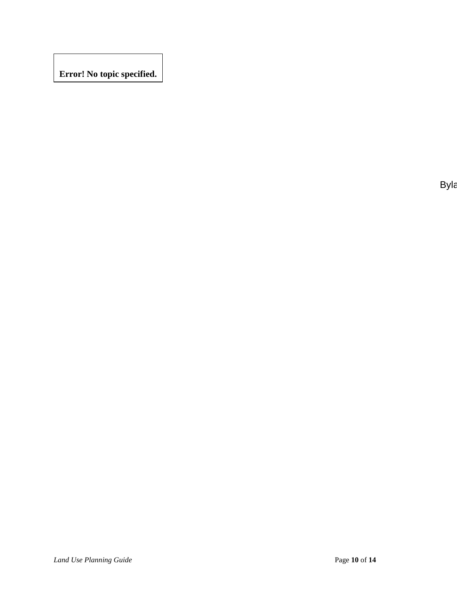# **Error! No topic specified.**

**Byla**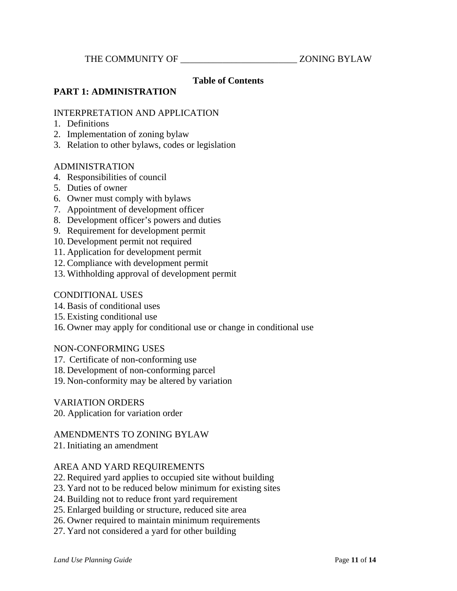## **Table of Contents**

## **PART 1: ADMINISTRATION**

#### INTERPRETATION AND APPLICATION

- 1. Definitions
- 2. Implementation of zoning bylaw
- 3. Relation to other bylaws, codes or legislation

#### ADMINISTRATION

- 4. Responsibilities of council
- 5. Duties of owner
- 6. Owner must comply with bylaws
- 7. Appointment of development officer
- 8. Development officer's powers and duties
- 9. Requirement for development permit
- 10. Development permit not required
- 11. Application for development permit
- 12. Compliance with development permit
- 13. Withholding approval of development permit

#### CONDITIONAL USES

- 14. Basis of conditional uses
- 15. Existing conditional use
- 16. Owner may apply for conditional use or change in conditional use

#### NON-CONFORMING USES

- 17. Certificate of non-conforming use
- 18. Development of non-conforming parcel
- 19. Non-conformity may be altered by variation

## VARIATION ORDERS

20. Application for variation order

# AMENDMENTS TO ZONING BYLAW

21. Initiating an amendment

## AREA AND YARD REQUIREMENTS

- 22. Required yard applies to occupied site without building
- 23. Yard not to be reduced below minimum for existing sites
- 24. Building not to reduce front yard requirement
- 25. Enlarged building or structure, reduced site area
- 26. Owner required to maintain minimum requirements
- 27. Yard not considered a yard for other building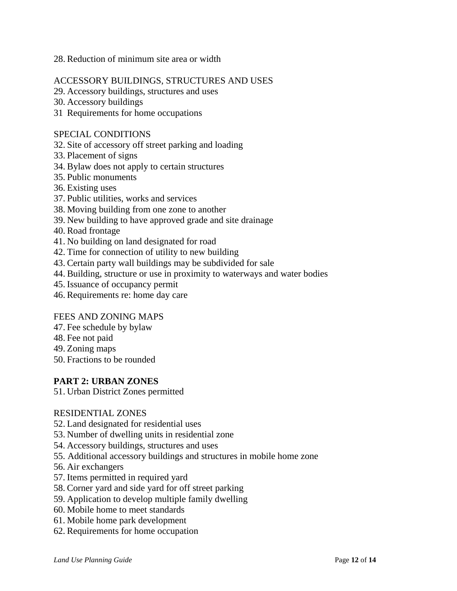28. Reduction of minimum site area or width

## ACCESSORY BUILDINGS, STRUCTURES AND USES

- 29. Accessory buildings, structures and uses
- 30. Accessory buildings
- 31 Requirements for home occupations

#### SPECIAL CONDITIONS

- 32. Site of accessory off street parking and loading
- 33. Placement of signs
- 34. Bylaw does not apply to certain structures
- 35. Public monuments
- 36. Existing uses
- 37. Public utilities, works and services
- 38. Moving building from one zone to another
- 39. New building to have approved grade and site drainage
- 40. Road frontage
- 41. No building on land designated for road
- 42. Time for connection of utility to new building
- 43. Certain party wall buildings may be subdivided for sale
- 44. Building, structure or use in proximity to waterways and water bodies
- 45. Issuance of occupancy permit
- 46. Requirements re: home day care

## FEES AND ZONING MAPS

- 47. Fee schedule by bylaw
- 48. Fee not paid
- 49. Zoning maps
- 50. Fractions to be rounded

## **PART 2: URBAN ZONES**

51. Urban District Zones permitted

#### RESIDENTIAL ZONES

- 52. Land designated for residential uses
- 53. Number of dwelling units in residential zone
- 54. Accessory buildings, structures and uses
- 55. Additional accessory buildings and structures in mobile home zone
- 56. Air exchangers
- 57. Items permitted in required yard
- 58. Corner yard and side yard for off street parking
- 59. Application to develop multiple family dwelling
- 60. Mobile home to meet standards
- 61. Mobile home park development
- 62. Requirements for home occupation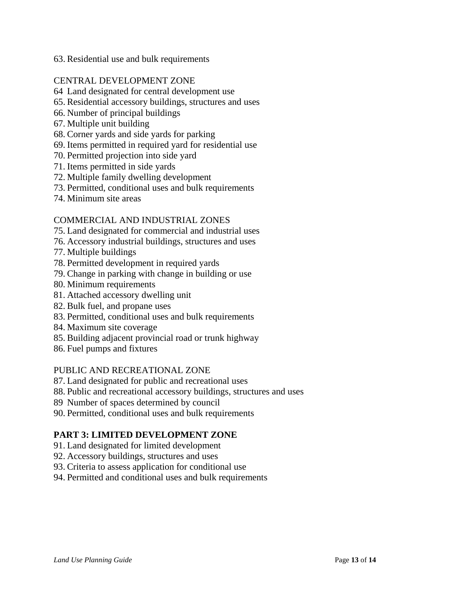63. Residential use and bulk requirements

## CENTRAL DEVELOPMENT ZONE

- 64 Land designated for central development use
- 65. Residential accessory buildings, structures and uses
- 66. Number of principal buildings
- 67. Multiple unit building
- 68. Corner yards and side yards for parking
- 69. Items permitted in required yard for residential use
- 70. Permitted projection into side yard
- 71. Items permitted in side yards
- 72. Multiple family dwelling development
- 73. Permitted, conditional uses and bulk requirements
- 74. Minimum site areas

#### COMMERCIAL AND INDUSTRIAL ZONES

- 75. Land designated for commercial and industrial uses
- 76. Accessory industrial buildings, structures and uses
- 77. Multiple buildings
- 78. Permitted development in required yards
- 79. Change in parking with change in building or use
- 80. Minimum requirements
- 81. Attached accessory dwelling unit
- 82. Bulk fuel, and propane uses
- 83. Permitted, conditional uses and bulk requirements
- 84. Maximum site coverage
- 85. Building adjacent provincial road or trunk highway
- 86. Fuel pumps and fixtures

#### PUBLIC AND RECREATIONAL ZONE

- 87. Land designated for public and recreational uses
- 88. Public and recreational accessory buildings, structures and uses
- 89 Number of spaces determined by council
- 90. Permitted, conditional uses and bulk requirements

## **PART 3: LIMITED DEVELOPMENT ZONE**

- 91. Land designated for limited development
- 92. Accessory buildings, structures and uses
- 93. Criteria to assess application for conditional use
- 94. Permitted and conditional uses and bulk requirements